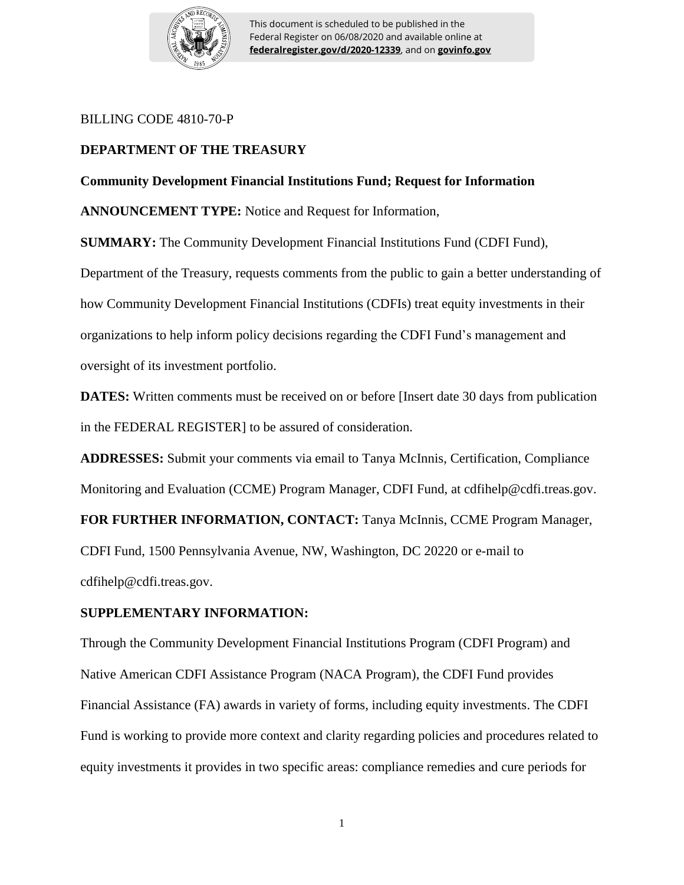

This document is scheduled to be published in the Federal Register on 06/08/2020 and available online at **federalregister.gov/d/2020-12339**, and on **govinfo.gov**

### BILLING CODE 4810-70-P

# **DEPARTMENT OF THE TREASURY**

## **Community Development Financial Institutions Fund; Request for Information**

**ANNOUNCEMENT TYPE:** Notice and Request for Information,

**SUMMARY:** The Community Development Financial Institutions Fund (CDFI Fund),

Department of the Treasury, requests comments from the public to gain a better understanding of how Community Development Financial Institutions (CDFIs) treat equity investments in their organizations to help inform policy decisions regarding the CDFI Fund's management and oversight of its investment portfolio.

**DATES:** Written comments must be received on or before [Insert date 30 days from publication in the FEDERAL REGISTER] to be assured of consideration.

**ADDRESSES:** Submit your comments via email to Tanya McInnis, Certification, Compliance Monitoring and Evaluation (CCME) Program Manager, CDFI Fund, at cdfihelp@cdfi.treas.gov.

**FOR FURTHER INFORMATION, CONTACT:** Tanya McInnis, CCME Program Manager,

CDFI Fund, 1500 Pennsylvania Avenue, NW, Washington, DC 20220 or e-mail to cdfihelp@cdfi.treas.gov.

### **SUPPLEMENTARY INFORMATION:**

Through the Community Development Financial Institutions Program (CDFI Program) and Native American CDFI Assistance Program (NACA Program), the CDFI Fund provides Financial Assistance (FA) awards in variety of forms, including equity investments. The CDFI Fund is working to provide more context and clarity regarding policies and procedures related to equity investments it provides in two specific areas: compliance remedies and cure periods for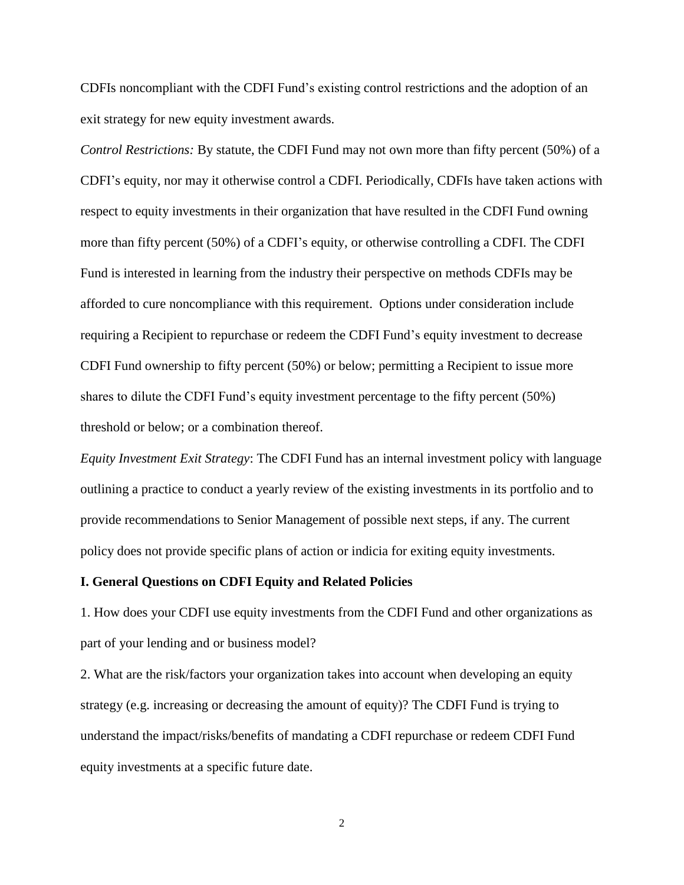CDFIs noncompliant with the CDFI Fund's existing control restrictions and the adoption of an exit strategy for new equity investment awards.

*Control Restrictions:* By statute, the CDFI Fund may not own more than fifty percent (50%) of a CDFI's equity, nor may it otherwise control a CDFI. Periodically, CDFIs have taken actions with respect to equity investments in their organization that have resulted in the CDFI Fund owning more than fifty percent (50%) of a CDFI's equity, or otherwise controlling a CDFI. The CDFI Fund is interested in learning from the industry their perspective on methods CDFIs may be afforded to cure noncompliance with this requirement. Options under consideration include requiring a Recipient to repurchase or redeem the CDFI Fund's equity investment to decrease CDFI Fund ownership to fifty percent (50%) or below; permitting a Recipient to issue more shares to dilute the CDFI Fund's equity investment percentage to the fifty percent (50%) threshold or below; or a combination thereof.

*Equity Investment Exit Strategy*: The CDFI Fund has an internal investment policy with language outlining a practice to conduct a yearly review of the existing investments in its portfolio and to provide recommendations to Senior Management of possible next steps, if any. The current policy does not provide specific plans of action or indicia for exiting equity investments.

#### **I. General Questions on CDFI Equity and Related Policies**

1. How does your CDFI use equity investments from the CDFI Fund and other organizations as part of your lending and or business model?

2. What are the risk/factors your organization takes into account when developing an equity strategy (e.g. increasing or decreasing the amount of equity)? The CDFI Fund is trying to understand the impact/risks/benefits of mandating a CDFI repurchase or redeem CDFI Fund equity investments at a specific future date.

2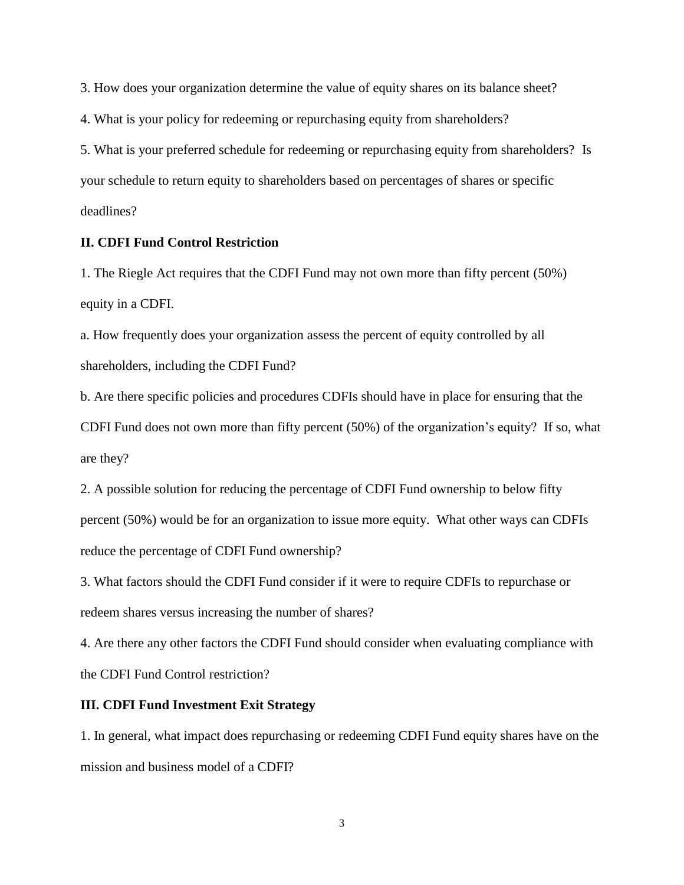3. How does your organization determine the value of equity shares on its balance sheet?

4. What is your policy for redeeming or repurchasing equity from shareholders?

5. What is your preferred schedule for redeeming or repurchasing equity from shareholders? Is your schedule to return equity to shareholders based on percentages of shares or specific deadlines?

### **II. CDFI Fund Control Restriction**

1. The Riegle Act requires that the CDFI Fund may not own more than fifty percent (50%) equity in a CDFI.

a. How frequently does your organization assess the percent of equity controlled by all shareholders, including the CDFI Fund?

b. Are there specific policies and procedures CDFIs should have in place for ensuring that the CDFI Fund does not own more than fifty percent (50%) of the organization's equity? If so, what are they?

2. A possible solution for reducing the percentage of CDFI Fund ownership to below fifty percent (50%) would be for an organization to issue more equity. What other ways can CDFIs reduce the percentage of CDFI Fund ownership?

3. What factors should the CDFI Fund consider if it were to require CDFIs to repurchase or redeem shares versus increasing the number of shares?

4. Are there any other factors the CDFI Fund should consider when evaluating compliance with the CDFI Fund Control restriction?

#### **III. CDFI Fund Investment Exit Strategy**

1. In general, what impact does repurchasing or redeeming CDFI Fund equity shares have on the mission and business model of a CDFI?

3